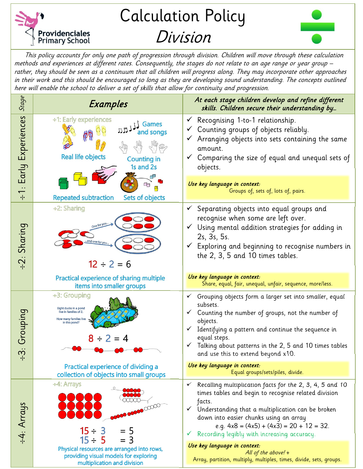

## Calculation Policy Division



This policy accounts for only one path of progression through division. Children will move through these calculation methods and experiences at different rates. Consequently, the stages do not relate to an age range or year group – rather, they should be seen as a continuum that all children will progress along. They may incorporate other approaches in their work and this should be encouraged so long as they are developing sound understanding. The concepts outlined here will enable the school to deliver a set of skills that allow for continuity and progression.

| Stage                              | Examples                                                                                                                                                      | At each stage children develop and refine different<br>skills. Children secure their understanding by                                                                                                                                                                                                                                                                                                                |
|------------------------------------|---------------------------------------------------------------------------------------------------------------------------------------------------------------|----------------------------------------------------------------------------------------------------------------------------------------------------------------------------------------------------------------------------------------------------------------------------------------------------------------------------------------------------------------------------------------------------------------------|
| Early Experiences<br>$\frac{1}{1}$ | ÷1: Early experiences<br>Games<br>刀見<br>sonas<br><b>Real life objects</b><br><b>Counting in</b><br>1s and 2s                                                  | Recognising 1-to-1 relationship.<br>$\checkmark$<br>Counting groups of objects reliably.<br>$\checkmark$<br>Arranging objects into sets containing the same<br>amount.<br>Comparing the size of equal and unequal sets of<br>$\checkmark$<br>objects.                                                                                                                                                                |
|                                    | Œg<br><b>Repeated subtraction</b><br>Sets of objects                                                                                                          | Use key language in context:<br>Groups of, sets of, lots of, pairs.                                                                                                                                                                                                                                                                                                                                                  |
| $-2$ : Sharing                     | ÷2: Sharing<br>ind one for you<br>$12 \div 2 = 6$                                                                                                             | Separating objects into equal groups and<br>recognise when some are left over.<br>Using mental addition strategies for adding in<br>$\checkmark$<br>2s, 3s, 5s.<br>Exploring and beginning to recognise numbers in<br>$\checkmark$<br>the 2, 3, 5 and 10 times tables.                                                                                                                                               |
|                                    | Practical experience of sharing multiple<br>items into smaller groups                                                                                         | Use key language in context:<br>Share, equal, fair, unequal, unfair, sequence, more/less.                                                                                                                                                                                                                                                                                                                            |
| Grouping<br>$\ddot{\sigma}$<br>∙ ∙ | ÷3: Grouping<br>Eight ducks in a pond<br>live in families of 2.<br>How many families live<br>in this pond?<br>$8 \div 2 = 4$                                  | $\checkmark$ Grouping objects form a larger set into smaller, equal<br>subsets.<br>Counting the number of groups, not the number of<br>$\checkmark$<br>objects.<br>Identifying a pattern and continue the sequence in<br>$\checkmark$<br>equal steps.<br>Talking about patterns in the 2, 5 and 10 times tables<br>$\checkmark$<br>and use this to extend beyond x10.                                                |
|                                    | Practical experience of dividing a<br>collection of objects into small groups                                                                                 | Use key language in context:<br>Equal groups/sets/piles, divide.                                                                                                                                                                                                                                                                                                                                                     |
| ÷4: Arrays                         | ÷4: Arrays<br>00000000<br>$15 \div 3$<br>$= 5$<br>$15 \div 5$<br>$=$ 3<br>Physical resources are arranged into rows,<br>providing visual models for exploring | Recalling multiplication facts for the 2, 3, 4, 5 and 10<br>$\checkmark$<br>times tables and begin to recognise related division<br>facts.<br>Understanding that a multiplication can be broken<br>$\checkmark$<br>down into easier chunks using an array<br>e.g. $4x8 = (4x5) + (4x3) = 20 + 12 = 32$ .<br>Recording legibly with increasing accuracy.<br>v.<br>Use key language in context:<br>All of the above! + |
|                                    | multiplication and division                                                                                                                                   | Array, partition, multiply, multiples, times, divide, sets, groups.                                                                                                                                                                                                                                                                                                                                                  |